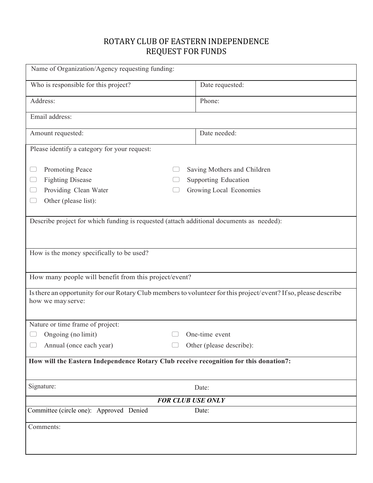## ROTARY CLUB OF EASTERN INDEPENDENCE REQUEST FOR FUNDS

| Name of Organization/Agency requesting funding:                                                                                      |                             |  |
|--------------------------------------------------------------------------------------------------------------------------------------|-----------------------------|--|
| Who is responsible for this project?                                                                                                 | Date requested:             |  |
| Address:                                                                                                                             | Phone:                      |  |
| Email address:                                                                                                                       |                             |  |
| Amount requested:                                                                                                                    | Date needed:                |  |
| Please identify a category for your request:                                                                                         |                             |  |
| Promoting Peace                                                                                                                      | Saving Mothers and Children |  |
| <b>Fighting Disease</b>                                                                                                              | <b>Supporting Education</b> |  |
| Providing Clean Water                                                                                                                | Growing Local Economies     |  |
| Other (please list):                                                                                                                 |                             |  |
| Describe project for which funding is requested (attach additional documents as needed):                                             |                             |  |
| How is the money specifically to be used?                                                                                            |                             |  |
| How many people will benefit from this project/event?                                                                                |                             |  |
| Is there an opportunity for our Rotary Club members to volunteer for this project/event? If so, please describe<br>how we may serve: |                             |  |
| Nature or time frame of project:                                                                                                     |                             |  |
| Ongoing (no limit)                                                                                                                   | One-time event              |  |
| Annual (once each year)                                                                                                              | Other (please describe):    |  |
| How will the Eastern Independence Rotary Club receive recognition for this donation7:                                                |                             |  |
| Signature:                                                                                                                           | Date:                       |  |
| <b>FOR CLUB USE ONLY</b>                                                                                                             |                             |  |
| Committee (circle one): Approved Denied<br>Date:                                                                                     |                             |  |
| Comments:                                                                                                                            |                             |  |
|                                                                                                                                      |                             |  |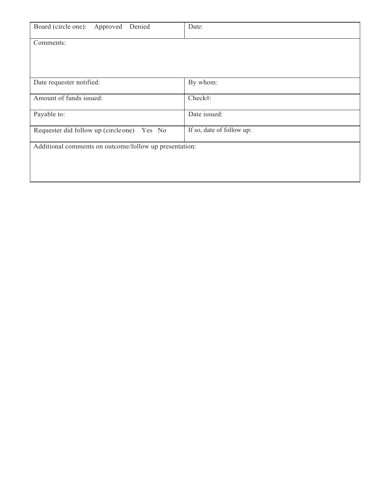| Board (circle one): Approved<br>Denied                 | Date:                     |  |
|--------------------------------------------------------|---------------------------|--|
| Comments:                                              |                           |  |
|                                                        |                           |  |
|                                                        |                           |  |
| Date requester notified:                               | By whom:                  |  |
| Amount of funds issued:                                | Check#:                   |  |
| Payable to:                                            | Date issued:              |  |
| Requester did follow up (circle one) Yes No            | If so, date of follow up: |  |
| Additional comments on outcome/follow up presentation: |                           |  |
|                                                        |                           |  |
|                                                        |                           |  |